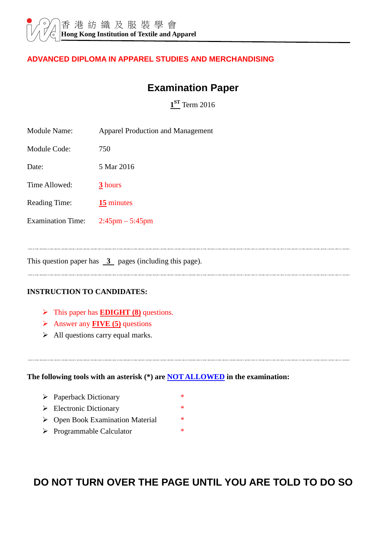#### **ADVANCED DIPLOMA IN APPAREL STUDIES AND MERCHANDISING**

## **Examination Paper**

**1 ST** Term 2016

| <b>Module Name:</b>      | <b>Apparel Production and Management</b> |
|--------------------------|------------------------------------------|
| Module Code:             | 750                                      |
| Date:                    | 5 Mar 2016                               |
| Time Allowed:            | 3 hours                                  |
| <b>Reading Time:</b>     | 15 minutes                               |
| <b>Examination Time:</b> | $2:45 \text{pm} - 5:45 \text{pm}$        |
|                          |                                          |

This question paper has  $\overline{3}$  pages (including this page).

#### **INSTRUCTION TO CANDIDATES:**

- > This paper has **EDIGHT (8)** questions.
- Answer any **FIVE (5)** questions
- $\triangleright$  All questions carry equal marks.

**The following tools with an asterisk (\*) are NOT ALLOWED in the examination:** 

- > Paperback Dictionary \*
- $\triangleright$  Electronic Dictionary \*
- > Open Book Examination Material  $*$
- > Programmable Calculator \*

# **DO NOT TURN OVER THE PAGE UNTIL YOU ARE TOLD TO DO SO**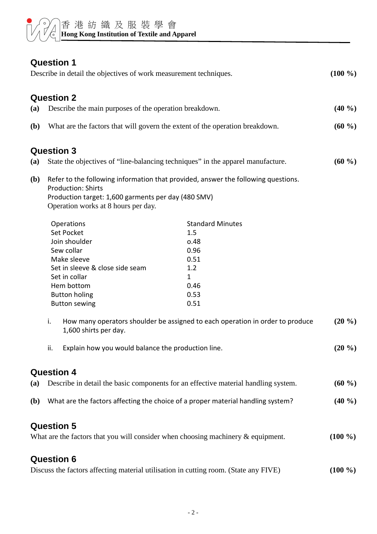

## **Question 1**

| <b>GULSHAIL</b><br>Describe in detail the objectives of work measurement techniques. |                                                                                                                                                                                                                                                                                      |                                                                                                                                                                                        | $(100\% )$            |
|--------------------------------------------------------------------------------------|--------------------------------------------------------------------------------------------------------------------------------------------------------------------------------------------------------------------------------------------------------------------------------------|----------------------------------------------------------------------------------------------------------------------------------------------------------------------------------------|-----------------------|
|                                                                                      | <b>Question 2</b>                                                                                                                                                                                                                                                                    |                                                                                                                                                                                        |                       |
| (a)                                                                                  | Describe the main purposes of the operation breakdown.                                                                                                                                                                                                                               |                                                                                                                                                                                        | $(40\%)$              |
| <b>(b)</b>                                                                           | What are the factors that will govern the extent of the operation breakdown.                                                                                                                                                                                                         |                                                                                                                                                                                        | $(60\%)$              |
|                                                                                      | <b>Question 3</b>                                                                                                                                                                                                                                                                    |                                                                                                                                                                                        |                       |
| (a)                                                                                  | State the objectives of "line-balancing techniques" in the apparel manufacture.                                                                                                                                                                                                      |                                                                                                                                                                                        | $(60\% )$             |
| <b>(b)</b>                                                                           | Refer to the following information that provided, answer the following questions.<br><b>Production: Shirts</b><br>Production target: 1,600 garments per day (480 SMV)<br>Operation works at 8 hours per day.                                                                         |                                                                                                                                                                                        |                       |
|                                                                                      | Operations<br><b>Set Pocket</b><br>Join shoulder<br>Sew collar<br>Make sleeve<br>Set in sleeve & close side seam<br>Set in collar<br>Hem bottom<br><b>Button holing</b><br><b>Button sewing</b><br>i.<br>1,600 shirts per day.<br>Explain how you would balance the production line. | <b>Standard Minutes</b><br>1.5<br>0.48<br>0.96<br>0.51<br>1.2<br>$\mathbf{1}$<br>0.46<br>0.53<br>0.51<br>How many operators shoulder be assigned to each operation in order to produce | $(20\% )$<br>$(20\%)$ |
|                                                                                      |                                                                                                                                                                                                                                                                                      |                                                                                                                                                                                        |                       |
|                                                                                      | <b>Question 4</b>                                                                                                                                                                                                                                                                    |                                                                                                                                                                                        |                       |
| (a)                                                                                  | Describe in detail the basic components for an effective material handling system.                                                                                                                                                                                                   |                                                                                                                                                                                        | $(60\%)$              |
| <b>(b)</b>                                                                           | What are the factors affecting the choice of a proper material handling system?                                                                                                                                                                                                      |                                                                                                                                                                                        | $(40\%)$              |
|                                                                                      | <b>Question 5</b><br>What are the factors that you will consider when choosing machinery $\&$ equipment.                                                                                                                                                                             |                                                                                                                                                                                        | $(100\% )$            |
|                                                                                      | <b>Question 6</b>                                                                                                                                                                                                                                                                    |                                                                                                                                                                                        |                       |
|                                                                                      | Discuss the factors affecting material utilisation in cutting room. (State any FIVE)                                                                                                                                                                                                 |                                                                                                                                                                                        | $(100\%)$             |